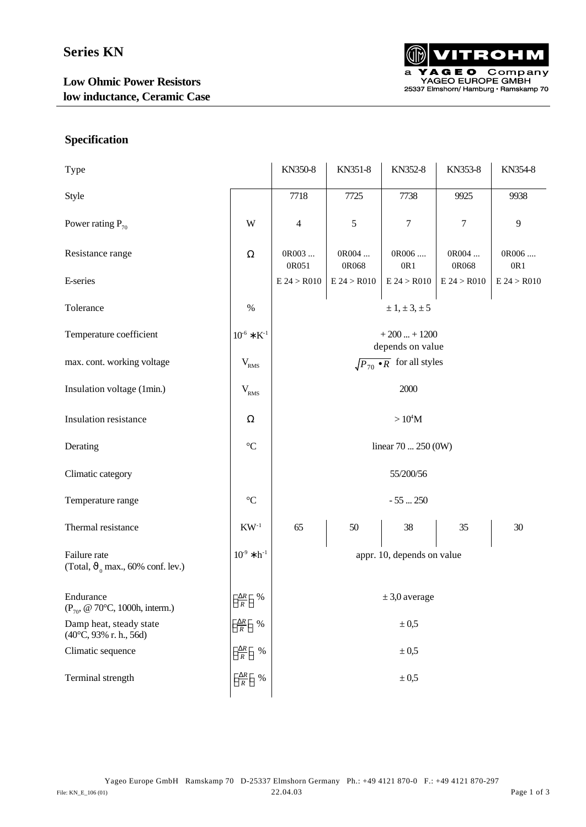

### **Specification**

| Type                                                                   |                                                   | KN350-8                                | KN351-8        | KN352-8          | KN353-8        | KN354-8      |
|------------------------------------------------------------------------|---------------------------------------------------|----------------------------------------|----------------|------------------|----------------|--------------|
| Style                                                                  |                                                   | 7718                                   | 7725           | 7738             | 9925           | 9938         |
| Power rating $P_{70}$                                                  | $\ensuremath{\text{W}}$                           | $\overline{4}$                         | $\sqrt{5}$     | $\boldsymbol{7}$ | 7              | 9            |
| Resistance range                                                       | $\Omega$                                          | OR003<br>0R051                         | OR004<br>0R068 | 0R006<br>0R1     | 0R004<br>0R068 | 0R006<br>0R1 |
| E-series                                                               |                                                   | E 24 > R010                            | E 24 > R010    | E 24 > R010      | E 24 > R010    | E 24 > R010  |
| Tolerance                                                              | $\%$                                              | $\pm 1, \pm 3, \pm 5$                  |                |                  |                |              |
| Temperature coefficient                                                | $10^{-6} * K^{-1}$                                | $+200+1200$<br>depends on value        |                |                  |                |              |
| max. cont. working voltage                                             | $\rm V_{\rm RMS}$                                 | $\sqrt{P_{70} \cdot R}$ for all styles |                |                  |                |              |
| Insulation voltage (1min.)                                             | $V_{RMS}$                                         | 2000                                   |                |                  |                |              |
| Insulation resistance                                                  | $\Omega$                                          | $>10^4M$                               |                |                  |                |              |
| Derating                                                               | $\rm ^{\circ}C$                                   | linear $70250(0W)$                     |                |                  |                |              |
| Climatic category                                                      |                                                   | 55/200/56                              |                |                  |                |              |
| Temperature range                                                      | $^{\circ}C$                                       | $-55250$                               |                |                  |                |              |
| Thermal resistance                                                     | $\mathrm{KW}^{\text{-}1}$                         | 65                                     | 50             | 38               | 35             | 30           |
| Failure rate<br>(Total, $\vartheta_0$ max., 60% conf. lev.)            | $10^{9} * h^{-1}$                                 | appr. 10, depends on value             |                |                  |                |              |
| Endurance<br>$(P_{70}, \text{ @ } 70^{\circ}C, 1000h, \text{intern.})$ | $\left[\frac{\Delta R}{R}\right]$ %               | $\pm 3.0$ average                      |                |                  |                |              |
| Damp heat, steady state<br>(40°C, 93% r. h., 56d)                      | $\left[\frac{\Delta R}{R}\right]$ %               | $\pm 0.5$                              |                |                  |                |              |
| Climatic sequence                                                      | $\left[\frac{\Delta R}{R}\right]$<br>$\%$         | $\pm\,0.5$                             |                |                  |                |              |
| Terminal strength                                                      | $\left\lfloor \frac{\Delta R}{R} \right\rfloor$ % | $\pm 0.5$                              |                |                  |                |              |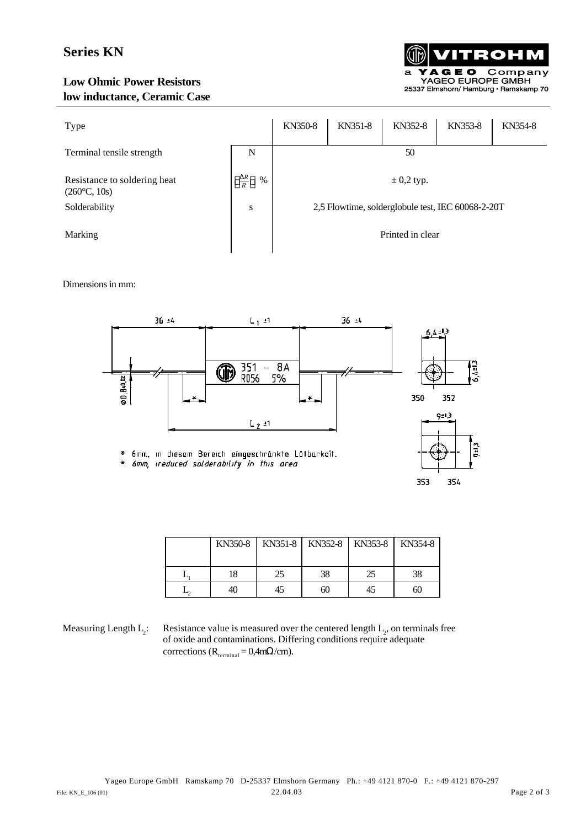# **Series KN**

#### **Low Ohmic Power Resistors low inductance, Ceramic Case**



| Type                                                  |                              | KN350-8                                           | KN351-8 | KN352-8 | KN353-8 | KN354-8 |
|-------------------------------------------------------|------------------------------|---------------------------------------------------|---------|---------|---------|---------|
| Terminal tensile strength                             | N                            | 50                                                |         |         |         |         |
| Resistance to soldering heat<br>$(260^{\circ}C, 10s)$ | $\frac{\Delta R}{R}$<br>$\%$ | $\pm$ 0,2 typ.                                    |         |         |         |         |
| Solderability                                         | ${\bf S}$                    | 2,5 Flowtime, solderglobule test, IEC 60068-2-20T |         |         |         |         |
| Marking                                               |                              | Printed in clear                                  |         |         |         |         |

Dimensions in mm:



| KN350-8 |    | KN351-8   KN352-8   KN353-8 |    | KN354-8 |
|---------|----|-----------------------------|----|---------|
| 18      | 25 | 38                          | 25 | 38      |
| 4U      |    | 60                          | 45 | 60      |

Measuring Length L<sub>2</sub>:

: Resistance value is measured over the centered length  $L_2$ , on terminals free of oxide and contaminations. Differing conditions require adequate corrections ( $R_{\text{terminal}} = 0.4 \text{m}\Omega/\text{cm}$ ).